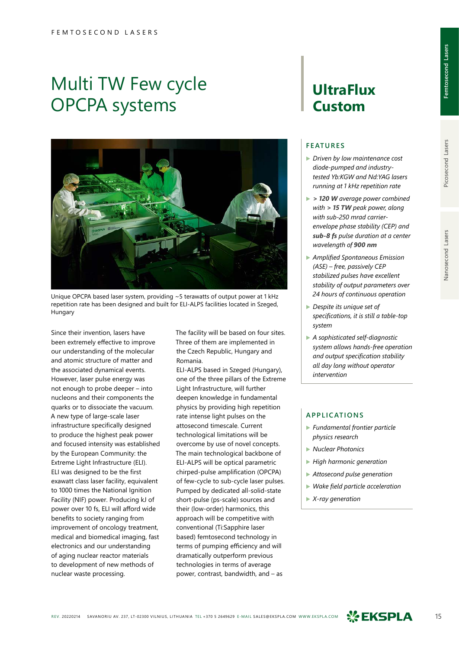# Multi TW Few cycle OPCPA systems



Unique OPCPA based laser system, providing ~5 terawatts of output power at 1 kHz repetition rate has been designed and built for ELI-ALPS facilities located in Szeged, Hungary

Since their invention, lasers have been extremely effective to improve our understanding of the molecular and atomic structure of matter and the associated dynamical events. However, laser pulse energy was not enough to probe deeper – into nucleons and their components the quarks or to dissociate the vacuum. A new type of large-scale laser infrastructure specifically designed to produce the highest peak power and focused intensity was established by the European Community: the Extreme Light Infrastructure (ELI). ELI was designed to be the first exawatt class laser facility, equivalent to 1000 times the National Ignition Facility (NIF) power. Producing kJ of power over 10 fs, ELI will afford wide benefits to society ranging from improvement of oncology treatment, medical and biomedical imaging, fast electronics and our understanding of aging nuclear reactor materials to development of new methods of nuclear waste processing.

The facility will be based on four sites. Three of them are implemented in the Czech Republic, Hungary and Romania.

ELI-ALPS based in Szeged (Hungary), one of the three pillars of the Extreme Light Infrastructure, will further deepen knowledge in fundamental physics by providing high repetition rate intense light pulses on the attosecond timescale. Current technological limitations will be overcome by use of novel concepts. The main technological backbone of ELI-ALPS will be optical parametric chirped-pulse amplification (OPCPA) of few-cycle to sub-cycle laser pulses. Pumped by dedicated all-solid-state short-pulse (ps-scale) sources and their (low-order) harmonics, this approach will be competitive with conventional (Ti:Sapphire laser based) femtosecond technology in terms of pumping efficiency and will dramatically outperform previous technologies in terms of average power, contrast, bandwidth, and – as

# **UltraFlux Custom**

## **FEATURES**

- ▶ *Driven by low maintenance cost diode-pumped and industrytested Yb:KGW and Nd:YAG lasers running at 1 kHz repetition rate*
- ▶ *> 120 W average power combined with > 15 TW peak power, along with sub-250 mrad carrierenvelope phase stability (CEP) and sub-8 fs pulse duration at a center wavelength of 900 nm*
- ▶ *Amplified Spontaneous Emission (ASE) – free, passively CEP stabilized pulses have excellent stability of output parameters over 24 hours of continuous operation*
- ▶ *Despite its unique set of specifications, it is still a table-top system*
- ▶ *A sophisticated self-diagnostic system allows hands-free operation and output specification stability all day long without operator intervention*

### **APPLICATIONS**

- ▶ *Fundamental frontier particle physics research*
- ▶ *Nuclear Photonics*
- ▶ *High harmonic generation*
- ▶ *Attosecond pulse generation*
- ▶ *Wake field particle acceleration*
- ▶ *X-ray generation*

Nanosecond Lasers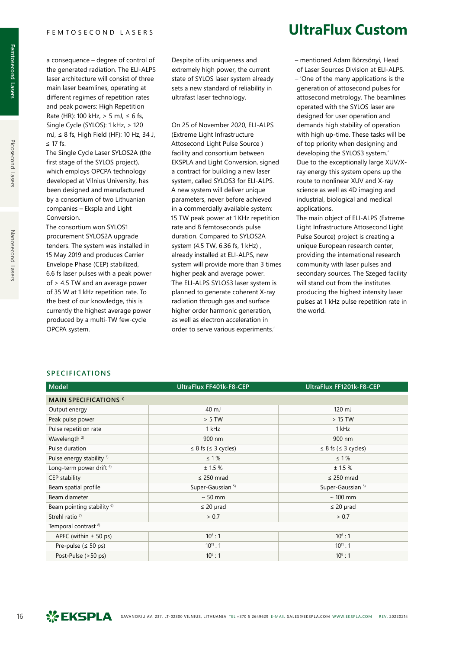a consequence – degree of control of the generated radiation. The ELI-ALPS laser architecture will consist of three main laser beamlines, operating at different regimes of repetition rates and peak powers: High Repetition Rate (HR): 100 kHz, > 5 mJ, ≤ 6 fs, Single Cycle (SYLOS): 1 kHz, > 120 mJ, ≤ 8 fs, High Field (HF): 10 Hz, 34 J, ≤ 17 fs.

The Single Cycle Laser SYLOS2A (the first stage of the SYLOS project), which employs OPCPA technology developed at Vilnius University, has been designed and manufactured by a consortium of two Lithuanian companies – Ekspla and Light Conversion.

The consortium won SYLOS1 procurement SYLOS2A upgrade tenders. The system was installed in 15 May 2019 and produces Carrier Envelope Phase (CEP) stabilized, 6.6 fs laser pulses with a peak power of > 4.5 TW and an average power of 35 W at 1 kHz repetition rate. To the best of our knowledge, this is currently the highest average power produced by a multi-TW few-cycle OPCPA system.

Despite of its uniqueness and extremely high power, the current state of SYLOS laser system already sets a new standard of reliability in ultrafast laser technology.

On 25 of November 2020, ELI‑ALPS (Extreme Light Infrastructure Attosecond Light Pulse Source ) facility and consortium between EKSPLA and Light Conversion, signed a contract for building a new laser system, called SYLOS3 for ELI-ALPS. A new system will deliver unique parameters, never before achieved in a commercially available system: 15 TW peak power at 1 KHz repetition rate and 8 femtoseconds pulse duration. Compared to SYLOS2A system (4.5 TW, 6.36 fs, 1 kHz) , already installed at ELI-ALPS, new system will provide more than 3 times higher peak and average power. 'The ELI-ALPS SYLOS3 laser system is planned to generate coherent X-ray radiation through gas and surface higher order harmonic generation, as well as electron acceleration in order to serve various experiments.'

# **UltraFlux Custom**

– mentioned Adam Börzsönyi, Head of Laser Sources Division at ELI-ALPS. – 'One of the many applications is the generation of attosecond pulses for attosecond metrology. The beamlines operated with the SYLOS laser are designed for user operation and demands high stability of operation with high up-time. These tasks will be of top priority when designing and developing the SYLOS3 system.' Due to the exceptionally large XUV/Xray energy this system opens up the route to nonlinear XUV and X-ray science as well as 4D imaging and industrial, biological and medical applications.

The main object of ELI-ALPS (Extreme Light Infrastructure Attosecond Light Pulse Source) project is creating a unique European research center, providing the international research community with laser pulses and secondary sources. The Szeged facility will stand out from the institutes producing the highest intensity laser pulses at 1 kHz pulse repetition rate in the world.

|  |  |  |  |  |  |  |  |  | SPECIFICATIONS |  |
|--|--|--|--|--|--|--|--|--|----------------|--|
|--|--|--|--|--|--|--|--|--|----------------|--|

| <b>Model</b>                             | UltraFlux FF401k-F8-CEP        | UltraFlux FF1201k-F8-CEP       |
|------------------------------------------|--------------------------------|--------------------------------|
| <b>MAIN SPECIFICATIONS</b> <sup>1)</sup> |                                |                                |
| Output energy                            | 40 mJ                          | 120 mJ                         |
| Peak pulse power                         | > 5 TW                         | $>15$ TW                       |
| Pulse repetition rate                    | 1 kHz                          | 1 kHz                          |
| Wavelength <sup>2)</sup>                 | 900 nm                         | 900 nm                         |
| Pulse duration                           | $\leq 8$ fs ( $\leq 3$ cycles) | $\leq 8$ fs ( $\leq 3$ cycles) |
| Pulse energy stability 3)                | $\leq 1\%$                     | $\leq 1\%$                     |
| Long-term power drift <sup>4)</sup>      | ± 1.5%                         | ± 1.5%                         |
| CEP stability                            | $\leq$ 250 mrad                | $\leq$ 250 mrad                |
| Beam spatial profile                     | Super-Gaussian <sup>5)</sup>   | Super-Gaussian <sup>5)</sup>   |
| Beam diameter                            | $\sim$ 50 mm                   | $\sim$ 100 mm                  |
| Beam pointing stability <sup>6)</sup>    | $\leq$ 20 µrad                 | $\leq$ 20 µrad                 |
| Strehl ratio <sup>7</sup>                | > 0.7                          | > 0.7                          |
| Temporal contrast <sup>8)</sup>          |                                |                                |
| APFC (within $\pm$ 50 ps)                | $10^6:1$                       | $10^6:1$                       |
| Pre-pulse ( $\leq$ 50 ps)                | $10^{11}$ : 1                  | $10^{11}$ : 1                  |
| Post-Pulse (>50 ps)                      | $10^8:1$                       | $10^8:1$                       |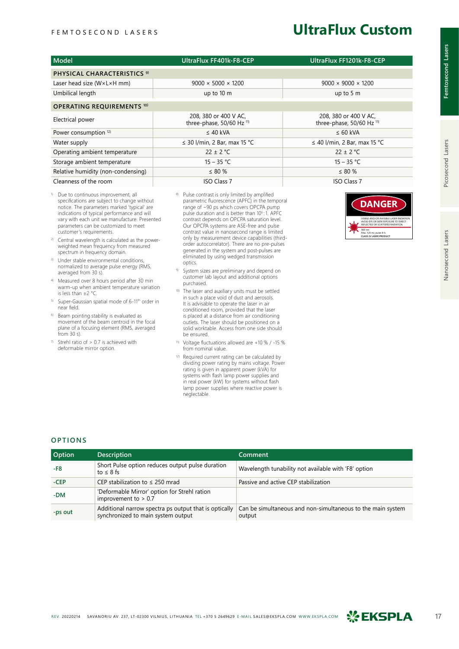# **UltraFlux Custom**

| Model                                      | UltraFlux FF401k-F8-CEP                            | UltraFlux FF1201k-F8-CEP                           |
|--------------------------------------------|----------------------------------------------------|----------------------------------------------------|
| PHYSICAL CHARACTERISTICS <sup>9)</sup>     |                                                    |                                                    |
| Laser head size $(W \times L \times H$ mm) | $9000 \times 5000 \times 1200$                     | $9000 \times 9000 \times 1200$                     |
| Umbilical length                           | up to $10 \text{ m}$                               | up to $5m$                                         |
| <b>OPERATING REQUIREMENTS 10)</b>          |                                                    |                                                    |
| Electrical power                           | 208, 380 or 400 V AC,<br>three-phase, 50/60 Hz 11) | 208, 380 or 400 V AC,<br>three-phase, 50/60 Hz 11) |
| Power consumption <sup>12)</sup>           | $\leq$ 40 kVA                                      | $\leq 60$ kVA                                      |
| Water supply                               | $\leq$ 30 l/min, 2 Bar, max 15 °C                  | $\leq$ 40 l/min, 2 Bar, max 15 °C                  |
| Operating ambient temperature              | $22 \pm 2$ °C                                      | $22 \pm 2$ °C                                      |
| Storage ambient temperature                | $15 - 35 °C$                                       | $15 - 35 °C$                                       |
| Relative humidity (non-condensing)         | $\leq 80\%$                                        | $\leq 80\%$                                        |
| Cleanness of the room                      | <b>ISO Class 7</b>                                 | <b>ISO Class 7</b>                                 |

- <sup>1)</sup> Due to continuous improvement, all specifications are subject to change without notice. The parameters marked 'typical' are indications of typical performance and will vary with each unit we manufacture. Presented parameters can be customized to meet customer's requirements.
- 2) Central wavelength is calculated as the powerweighted mean frequency from measured spectrum in frequency domain.
- 3) Under stable environmental conditions, normalized to average pulse energy (RMS, averaged from 30 s).
- 4) Measured over 8 hours period after 30 min warm-up when ambient temperature variation is less than ±2 °C.
- 5) Super-Gaussian spatial mode of 6-11th order in near field.
- 6) Beam pointing stability is evaluated as movement of the beam centroid in the focal plane of a focusing element (RMS, averaged from 30 s).
- Strehl ratio of  $> 0.7$  is achieved with deformable mirror option.
- 8) Pulse contrast is only limited by amplified parametric fluorescence (APFC) in the temporal range of ~90 ps which covers OPCPA pump<br>pulse duration and is better than 10<sup>6</sup>:1. APFC<br>contrast depends on OPCPA saturation level. Our OPCPA systems are ASE-free and pulse contrast value in nanosecond range is limited only by measurement device capabilities (thirdorder autocorrelator). There are no pre-pulses generated in the system and post-pulses are eliminated by using wedged transmission optics.
- System sizes are preliminary and depend on customer lab layout and additional options purchased.
- 10) The laser and auxiliary units must be settled in such a place void of dust and aerosols. It is advisable to operate the laser in air conditioned room, provided that the laser is placed at a distance from air conditioning outlets. The laser should be positioned on a solid worktable. Access from one side should be ensured.
- 11) Voltage fluctuations allowed are +10 % / -15 % from nominal value.
- 12) Required current rating can be calculated by dividing power rating by mains voltage. Power rating is given in apparent power (kVA) for systems with flash lamp power supplies and in real power (kW) for systems without flash lamp power supplies where reactive power is neglectable.

### VISIBLE AND/OR INVISIBLE LASER RADIATION AVOID EYE OR SKIN EXPOSURE TO DIRECT REFLECTED OR SCATTERED RADIATION 900 nm Max. 120 mJ, pulse 8 fs **CLASS IV LASER PRODUCT DANGER**

## **OPTIONS**

| <b>Option</b> | <b>Description</b>                                                                          | Comment                                                               |
|---------------|---------------------------------------------------------------------------------------------|-----------------------------------------------------------------------|
| $-F8$         | Short Pulse option reduces output pulse duration<br>to $\leq 8$ fs                          | Wavelength tunability not available with 'F8' option                  |
| $-CEP$        | CEP stabilization to $\leq$ 250 mrad                                                        | Passive and active CEP stabilization                                  |
| $-DM$         | 'Deformable Mirror' option for Strehl ration<br>improvement to $> 0.7$                      |                                                                       |
| -ps out       | Additional narrow spectra ps output that is optically<br>synchronized to main system output | Can be simultaneous and non-simultaneous to the main system<br>output |



**Femtosecond Lasers**

Femtosecond Lasers